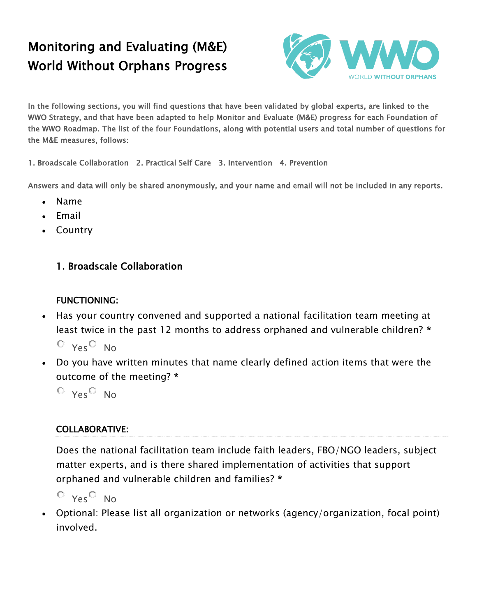# Monitoring and Evaluating (M&E) World Without Orphans Progress



In the following sections, you will find questions that have been validated by global experts, are linked to the WWO Strategy, and that have been adapted to help Monitor and Evaluate (M&E) progress for each Foundation of the WWO Roadmap. The list of the four Foundations, along with potential users and total number of questions for the M&E measures, follows:

1. Broadscale Collaboration 2. Practical Self Care 3. Intervention 4. Prevention

Answers and data will only be shared anonymously, and your name and email will not be included in any reports.

- Name
- Email
- Country

### 1. Broadscale Collaboration

#### FUNCTIONING:

• Has your country convened and supported a national facilitation team meeting at least twice in the past 12 months to address orphaned and vulnerable children? \*

 $O$  Yes  $O$  No

• Do you have written minutes that name clearly defined action items that were the outcome of the meeting? \*

 $O_{Yes}O_{NO}$ 

#### COLLABORATIVE:

Does the national facilitation team include faith leaders, FBO/NGO leaders, subject matter experts, and is there shared implementation of activities that support orphaned and vulnerable children and families? \*

```
O Yes O No
```
• Optional: Please list all organization or networks (agency/organization, focal point) involved.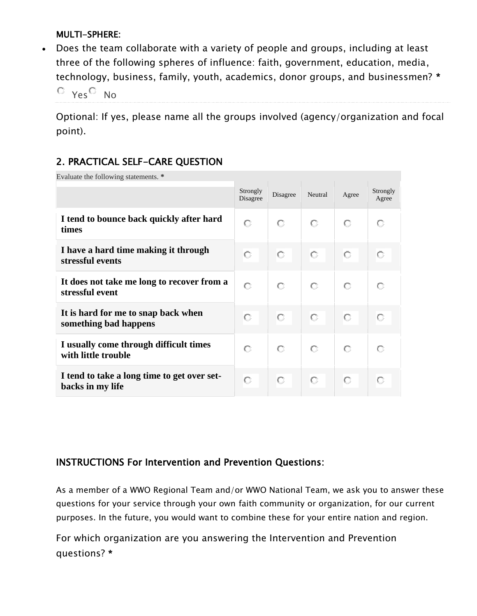### MULTI-SPHERE:

• Does the team collaborate with a variety of people and groups, including at least three of the following spheres of influence: faith, government, education, media, technology, business, family, youth, academics, donor groups, and businessmen? \*

 $O_{Yes}O_{NO}$ 

Optional: If yes, please name all the groups involved (agency/organization and focal point).

# 2. PRACTICAL SELF-CARE QUESTION

| Evaluate the following statements. *                            |                      |          |         |       |                   |
|-----------------------------------------------------------------|----------------------|----------|---------|-------|-------------------|
|                                                                 | Strongly<br>Disagree | Disagree | Neutral | Agree | Strongly<br>Agree |
| I tend to bounce back quickly after hard<br>times               | O                    | О        | О       | О     | О                 |
| I have a hard time making it through<br>stressful events        | O                    | O        | O       | O     |                   |
| It does not take me long to recover from a<br>stressful event   | О                    | O        | О       | О     | О                 |
| It is hard for me to snap back when<br>something bad happens    | О                    | О        | О       | О     |                   |
| I usually come through difficult times<br>with little trouble   | О                    | О        | О       | О     | О                 |
| I tend to take a long time to get over set-<br>backs in my life | О                    | О        | Ю       | О     |                   |

## INSTRUCTIONS For Intervention and Prevention Questions:

As a member of a WWO Regional Team and/or WWO National Team, we ask you to answer these questions for your service through your own faith community or organization, for our current purposes. In the future, you would want to combine these for your entire nation and region.

For which organization are you answering the Intervention and Prevention questions? \*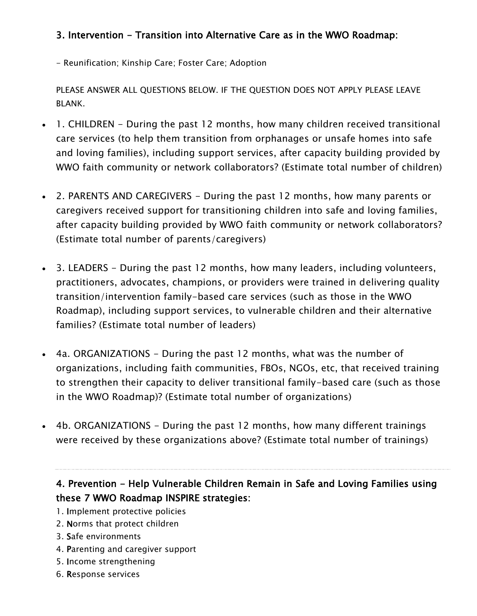# 3. Intervention - Transition into Alternative Care as in the WWO Roadmap:

- Reunification; Kinship Care; Foster Care; Adoption

PLEASE ANSWER ALL QUESTIONS BELOW. IF THE QUESTION DOES NOT APPLY PLEASE LEAVE BLANK.

- 1. CHILDREN During the past 12 months, how many children received transitional care services (to help them transition from orphanages or unsafe homes into safe and loving families), including support services, after capacity building provided by WWO faith community or network collaborators? (Estimate total number of children)
- 2. PARENTS AND CAREGIVERS During the past 12 months, how many parents or caregivers received support for transitioning children into safe and loving families, after capacity building provided by WWO faith community or network collaborators? (Estimate total number of parents/caregivers)
- 3. LEADERS During the past 12 months, how many leaders, including volunteers, practitioners, advocates, champions, or providers were trained in delivering quality transition/intervention family-based care services (such as those in the WWO Roadmap), including support services, to vulnerable children and their alternative families? (Estimate total number of leaders)
- 4a. ORGANIZATIONS During the past 12 months, what was the number of organizations, including faith communities, FBOs, NGOs, etc, that received training to strengthen their capacity to deliver transitional family-based care (such as those in the WWO Roadmap)? (Estimate total number of organizations)
- 4b. ORGANIZATIONS During the past 12 months, how many different trainings were received by these organizations above? (Estimate total number of trainings)

# 4. Prevention - Help Vulnerable Children Remain in Safe and Loving Families using these 7 WWO Roadmap INSPIRE strategies:

- 1. Implement protective policies
- 2. Norms that protect children
- 3. Safe environments
- 4. Parenting and caregiver support
- 5. Income strengthening
- 6. Response services